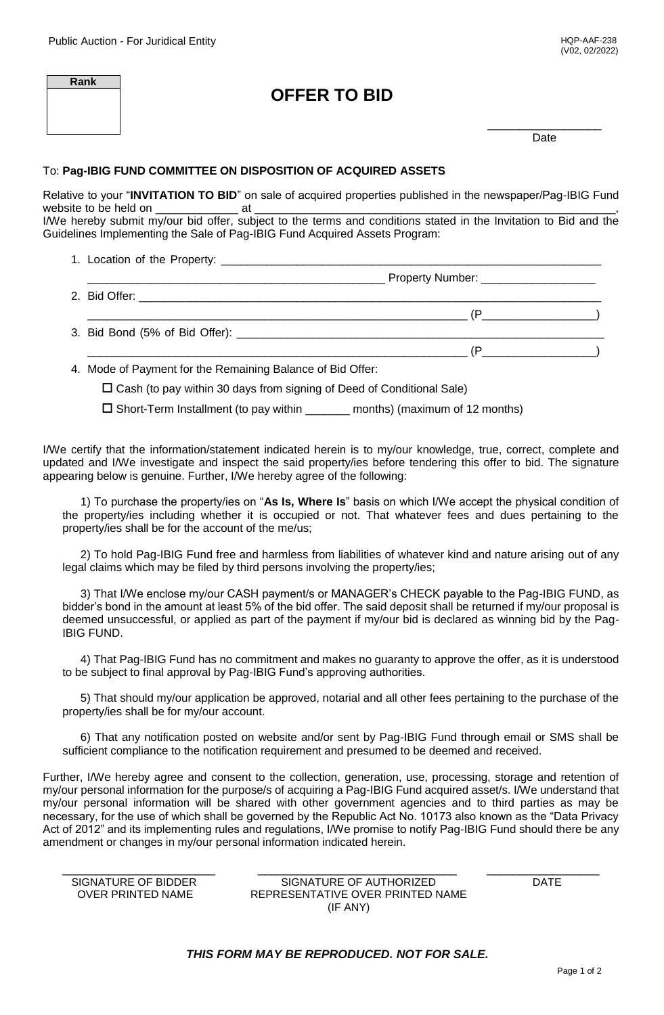| Rank | <b>OFFER TO BID</b> |      |
|------|---------------------|------|
|      |                     | Date |

## To: **Pag-IBIG FUND COMMITTEE ON DISPOSITION OF ACQUIRED ASSETS**

Relative to your "**INVITATION TO BID**" on sale of acquired properties published in the newspaper/Pag-IBIG Fund website to be held on \_\_\_\_\_\_\_\_\_\_\_\_\_ at \_\_\_\_\_\_\_\_\_\_\_\_\_\_\_\_\_\_\_\_\_\_\_\_\_\_\_\_\_\_\_\_\_\_\_\_\_\_\_\_\_\_\_\_\_\_\_\_\_\_\_\_\_\_\_\_\_, I/We hereby submit my/our bid offer, subject to the terms and conditions stated in the Invitation to Bid and the

Guidelines Implementing the Sale of Pag-IBIG Fund Acquired Assets Program:

- 1. Location of the Property: \_\_\_\_\_\_\_\_\_\_\_\_\_\_\_\_\_\_\_\_\_\_\_\_\_\_\_\_\_\_\_\_\_\_\_\_\_\_\_\_\_\_\_\_\_\_\_\_\_\_\_\_\_\_\_\_\_\_\_\_ \_\_\_\_\_\_\_\_\_\_\_\_\_\_\_\_\_\_\_\_\_\_\_\_\_\_\_\_\_\_\_\_\_\_\_\_\_\_\_\_\_\_\_\_\_\_\_ Property Number: \_\_\_\_\_\_\_\_\_\_\_\_\_\_\_\_\_\_
- 2. Bid Offer: \_\_\_\_\_\_\_\_\_\_\_\_\_\_\_\_\_\_\_\_\_\_\_\_\_\_\_\_\_\_\_\_\_\_\_\_\_\_\_\_\_\_\_\_\_\_\_\_\_\_\_\_\_\_\_\_\_\_\_\_\_\_\_\_\_\_\_\_\_\_\_\_\_
- \_\_\_\_\_\_\_\_\_\_\_\_\_\_\_\_\_\_\_\_\_\_\_\_\_\_\_\_\_\_\_\_\_\_\_\_\_\_\_\_\_\_\_\_\_\_\_\_\_\_\_\_\_\_\_\_\_\_\_\_ (P\_\_\_\_\_\_\_\_\_\_\_\_\_\_\_\_\_\_) 3. Bid Bond (5% of Bid Offer): \_\_\_\_\_\_\_\_\_\_\_\_\_\_\_\_\_\_\_\_\_\_\_\_\_\_\_\_\_\_\_\_\_\_\_\_\_\_\_\_\_\_\_\_\_\_\_\_\_\_\_\_\_\_\_\_\_\_  $(P \qquad \qquad )$

4. Mode of Payment for the Remaining Balance of Bid Offer:

 $\square$  Cash (to pay within 30 days from signing of Deed of Conditional Sale)

 $\square$  Short-Term Installment (to pay within \_\_\_\_\_\_\_ months) (maximum of 12 months)

I/We certify that the information/statement indicated herein is to my/our knowledge, true, correct, complete and updated and I/We investigate and inspect the said property/ies before tendering this offer to bid. The signature appearing below is genuine. Further, I/We hereby agree of the following:

1) To purchase the property/ies on "**As Is, Where Is**" basis on which I/We accept the physical condition of the property/ies including whether it is occupied or not. That whatever fees and dues pertaining to the property/ies shall be for the account of the me/us;

2) To hold Pag-IBIG Fund free and harmless from liabilities of whatever kind and nature arising out of any legal claims which may be filed by third persons involving the property/ies;

3) That I/We enclose my/our CASH payment/s or MANAGER's CHECK payable to the Pag-IBIG FUND, as bidder's bond in the amount at least 5% of the bid offer. The said deposit shall be returned if my/our proposal is deemed unsuccessful, or applied as part of the payment if my/our bid is declared as winning bid by the Pag-IBIG FUND.

4) That Pag-IBIG Fund has no commitment and makes no guaranty to approve the offer, as it is understood to be subject to final approval by Pag-IBIG Fund's approving authorities.

5) That should my/our application be approved, notarial and all other fees pertaining to the purchase of the property/ies shall be for my/our account.

6) That any notification posted on website and/or sent by Pag-IBIG Fund through email or SMS shall be sufficient compliance to the notification requirement and presumed to be deemed and received.

Further, I/We hereby agree and consent to the collection, generation, use, processing, storage and retention of my/our personal information for the purpose/s of acquiring a Pag-IBIG Fund acquired asset/s. I/We understand that my/our personal information will be shared with other government agencies and to third parties as may be necessary, for the use of which shall be governed by the Republic Act No. 10173 also known as the "Data Privacy Act of 2012" and its implementing rules and regulations, I/We promise to notify Pag-IBIG Fund should there be any amendment or changes in my/our personal information indicated herein.

| SIGNATURE OF BIDDER      | SIGNATURE OF AUTHORIZED          | DATF |
|--------------------------|----------------------------------|------|
| <b>OVER PRINTED NAME</b> | REPRESENTATIVE OVER PRINTED NAME |      |

SIGNATURE OF AUTHORIZED DATE REPRESENTATIVE OVER PRINTED NAME (IF ANY)

*THIS FORM MAY BE REPRODUCED. NOT FOR SALE.*